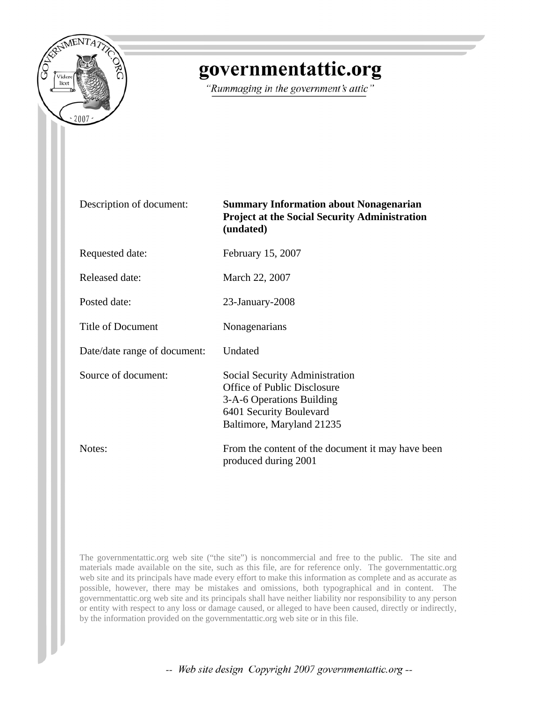

## governmentattic.org

"Rummaging in the government's attic"

| Description of document: |  |  |
|--------------------------|--|--|
|--------------------------|--|--|

**Summary Information about Nonagenarian Project at the Social Security Administration (undated)** 

Requested date: February 15, 2007

Released date: March 22, 2007

Posted date: 23-January-2008

Title of Document Nonagenarians

Date/date range of document: Undated

Source of document: Social Security Administration Office of Public Disclosure 3-A-6 Operations Building 6401 Security Boulevard Baltimore, Maryland 21235

Notes: From the content of the document it may have been produced during 2001

The governmentattic.org web site ("the site") is noncommercial and free to the public. The site and materials made available on the site, such as this file, are for reference only. The governmentattic.org web site and its principals have made every effort to make this information as complete and as accurate as possible, however, there may be mistakes and omissions, both typographical and in content. The governmentattic.org web site and its principals shall have neither liability nor responsibility to any person or entity with respect to any loss or damage caused, or alleged to have been caused, directly or indirectly, by the information provided on the governmentattic.org web site or in this file.

-- Web site design Copyright 2007 governmentattic.org --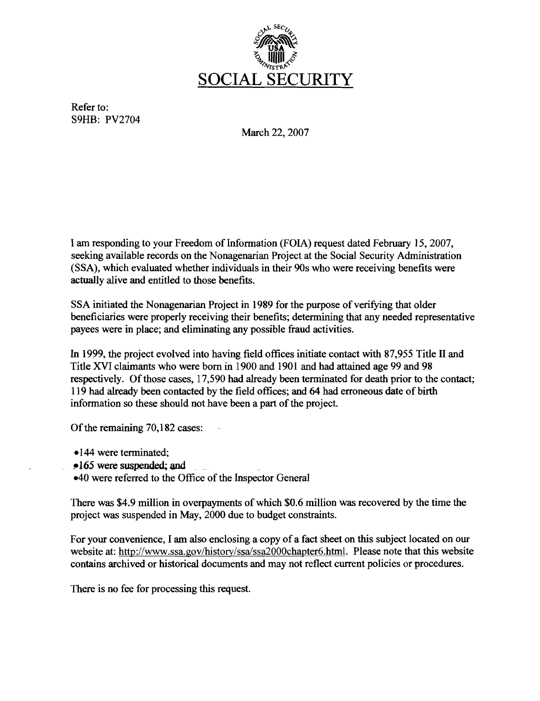

Refer to: S9HB: PV2704

March 22, 2007

I am responding to your Freedom of Information (FOIA) request dated February 15, 2007, seeking available records on the Nonagenarian Project at the Social Security Administration (SSA), which evaluated whether individuals in their 90s who were receiving benefits were actually alive and entitled to those benefits.

SSA initiated the Nonagenarian Project in 1989 for the purpose of verifying that older beneficiaries were properly receiving their benefits; determining that any needed representative payees were in place; and eliminating any possible fraud activities.

In 1999, the project evolved into having field offices initiate contact with 87,955 Title II and Title XVI claimants who were born in 1900 and 190I and had attained age 99 and 98 respectively. Of those cases, 17,590 had already been terminated for death prior to the contact; 119 had already been contacted by the field offices; and 64 had erroneous date of birth information so these should not have been a part of the project.

Of the remaining 70,182 cases:

-144 were terminated;

!'165 were suspended; and

 $-40$  were referred to the Office of the Inspector General

There was \$4.9 million in overpayments of which \$0.6 million was recovered by the time the project was suspended in May, 2000 due to budget constraints.

For your convenience, I am also enclosing a copy of a fact sheet on this subject located on our website at: http://www.ssa.gov/history/ssa/ssa2000chapter6.html. Please note that this website contains archived or historical documents and may not reflect current policies or procedures.

There is no fee for processing this request.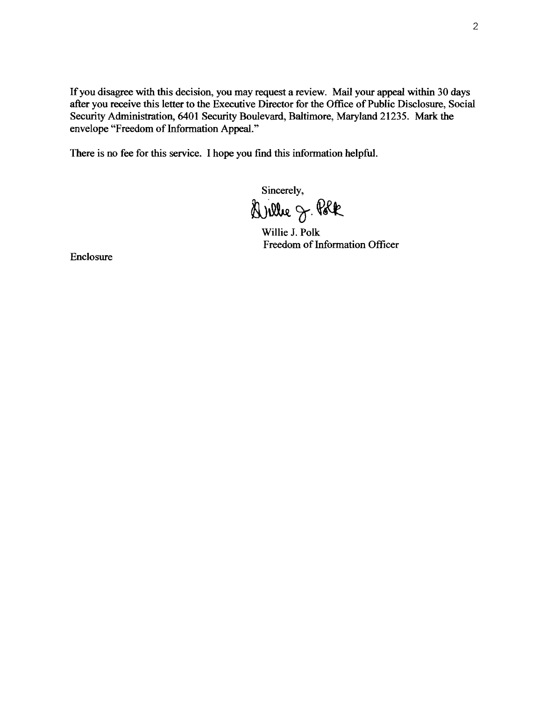If you disagree with this decision, you may request a review. Mail your appeal within 30 days after you receive this letter to the Executive Director for the Office of Public Disclosure, Social Security Administration, 6401 Security Boulevard, Baltimore, Maryland 21235. Mark the envelope "Freedom of Information Appeal."

There is no fee for this service. I hope you find this information helpful.

Sincerely, Wille J. Polk

Willie J. Polk Freedom of Information Officer

Enclosure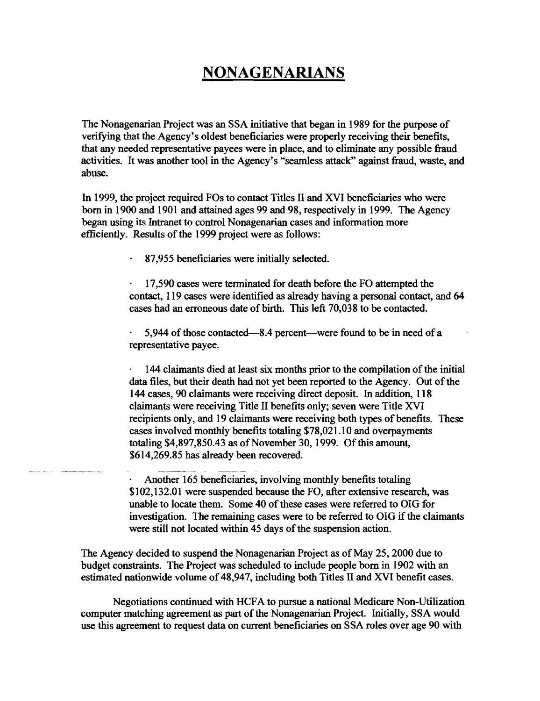## **NONAGENARIANS**

The Nonagenarian Project was an SSA initiative that began in 1989 for the purpose of verifying that the Agency's oldest beneficiaries were properly receiving their benefits, that any needed representative payees were in place, and to eliminate any possible fraud activities. It was another tool in the Agency's "seamless attack" against fraud, waste, and abuse.

In 1999, the project required FOs to contact Titles II and XVI beneficiaries who were born in 1900 and 1901 and attained ages 99 and 98, respectively in 1999. The Agency began using its Intranet to control Nonagenarian cases and information more efficiently. Results of the 1999 project were as follows:

87,955 beneficiaries were initially selected.

17,590 cases were terminated for death before the FO attempted the contact, 119 cases were identified as already having a personal contact, and 64 cases had an erroneous date of birth. This left 70,038 to be contacted.

5,944 of those contacted—8.4 percent—were found to be in need of a representative payee.

144 claimants died at least six months prior to the compilation of the initial data files, but their death had not yet been reported to the Agency. Out of the 144 cases, 90 claimants were receiving direct deposit. In addition, 118 claimants were receiving Title II benefits only; seven were Title XVI recipients only, and 19 claimants were receiving both types of benefits. These cases involved monthly benefits totaling \$78,021.10 and overpayments totaling  $$4,897,850.43$  as of November 30, 1999. Of this amount, \$614,269.85 has already been recovered.

Another 165 beneficiaries, involving monthly benefits totaling \$102,132.01 were suspended because the FO, after extensive research, was unable to locate them. Some 40 of these cases were referred to OIG for investigation. The remaining cases were to be referred to OIG if the claimants were still not located within 45 days of the suspension action.

The Agency decided to suspend the Nonagenarian Project as of May 25, 2000 due to budget constraints. The Project was scheduled to include people born in 1902 with an estimated nationwide volume of 48,947, including both Titles II and XVI benefit cases.

Negotiations continued with HCFA to pursue a national Medicare Non-Utilization computer matching agreement as part of the Nonagenarian Project. Initially, SSA would use this agreement to request data on current beneficiaries on SSA roles over age 90 with